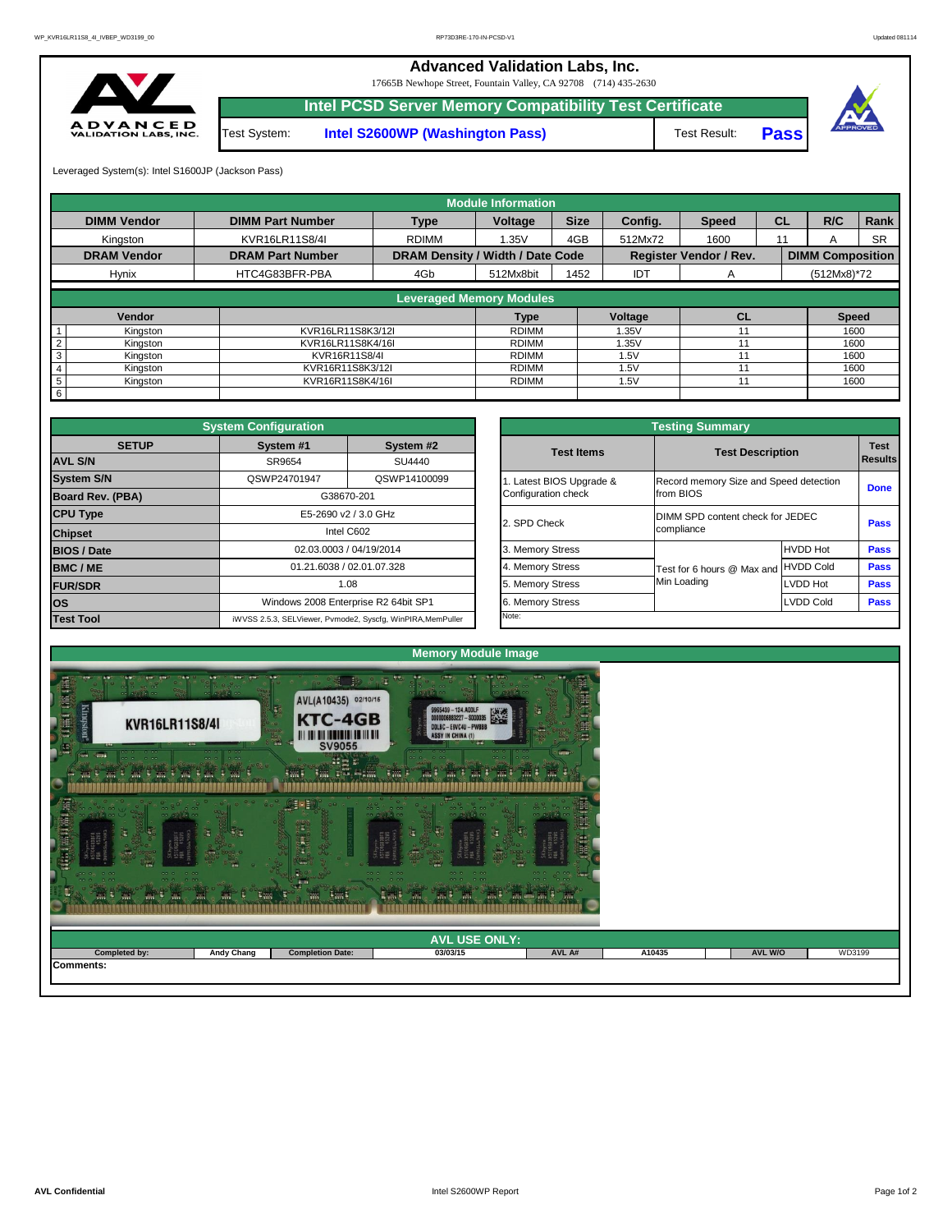## **Advanced Validation Labs, Inc.**

Leveraged System(s): Intel S1600JP (Jackson Pass)

**Pass**



17665B Newhope Street, Fountain Valley, CA 92708 (714) 435-2630



**Intel PCSD Server Memory Compatibility Test Certificate**

Test System: **Intel S2600WP (Washington Pass)** Test Result:

|                            |                         |                                         | <b>Module Information</b> |                      |                |                               |           |                         |             |
|----------------------------|-------------------------|-----------------------------------------|---------------------------|----------------------|----------------|-------------------------------|-----------|-------------------------|-------------|
| <b>DIMM Vendor</b>         | <b>DIMM Part Number</b> | <b>Type</b>                             | Voltage                   | <b>Size</b>          | Config.        | <b>Speed</b>                  | <b>CL</b> | R/C                     | <b>Rank</b> |
| Kingston                   | KVR16LR11S8/4I          | <b>RDIMM</b>                            | 1.35V                     | 4GB                  | 512Mx72        | 1600                          | 11        | A                       | <b>SR</b>   |
| <b>DRAM Vendor</b>         | <b>DRAM Part Number</b> | <b>DRAM Density / Width / Date Code</b> |                           |                      |                | <b>Register Vendor / Rev.</b> |           | <b>DIMM Composition</b> |             |
| <b>Hynix</b>               | HTC4G83BFR-PBA          | 4Gb                                     | 512Mx8bit                 | 1452                 | <b>IDT</b>     | A                             |           | $(512Mx8)*72$           |             |
|                            |                         | <b>Leveraged Memory Modules</b>         |                           |                      |                |                               |           |                         |             |
|                            |                         |                                         |                           |                      |                |                               |           |                         |             |
| <b>Vendor</b>              |                         |                                         | <b>Type</b>               |                      | <b>Voltage</b> | <b>CL</b>                     |           | <b>Speed</b>            |             |
| Kingston                   | KVR16LR11S8K3/12I       |                                         | <b>RDIMM</b>              |                      | 1.35V          |                               |           | 1600                    |             |
| $\overline{2}$<br>Kingston | KVR16LR11S8K4/16I       |                                         | <b>RDIMM</b>              |                      | 1.35V          | 11                            |           | 1600                    |             |
| 3<br>Kingston              | KVR16R11S8/4I           |                                         |                           |                      | 1.5V           | 11                            |           | 1600                    |             |
| Kingston                   | KVR16R11S8K3/12I        |                                         |                           | <b>RDIMM</b><br>1.5V |                |                               |           | 1600                    |             |
| 5<br>Kingston              | KVR16R11S8K4/16I        |                                         | <b>RDIMM</b>              |                      | 1.5V           | 11                            |           | 1600                    |             |
| 6                          |                         |                                         |                           |                      |                |                               |           |                         |             |

|                         |                                                 | <b>Testing Summary</b>                              |                                  |             |  |  |  |
|-------------------------|-------------------------------------------------|-----------------------------------------------------|----------------------------------|-------------|--|--|--|
| System #2<br>SU4440     | <b>Test Items</b>                               | <b>Test Description</b>                             | <b>Test</b><br><b>Results</b>    |             |  |  |  |
| QSWP14100099            | 1. Latest BIOS Upgrade &<br>Configuration check | Record memory Size and Speed detection<br>from BIOS |                                  | <b>Done</b> |  |  |  |
| GHz                     | 2. SPD Check                                    | compliance                                          | DIMM SPD content check for JEDEC |             |  |  |  |
| /2014                   | 3. Memory Stress                                |                                                     | <b>HVDD Hot</b>                  | <b>Pass</b> |  |  |  |
| 07.328                  | 4. Memory Stress                                | Test for 6 hours @ Max and                          | <b>HVDD Cold</b>                 | <b>Pass</b> |  |  |  |
|                         | 5. Memory Stress                                | Min Loading                                         | <b>LVDD Hot</b>                  | <b>Pass</b> |  |  |  |
| R2 64bit SP1            | 6. Memory Stress                                |                                                     | <b>LVDD Cold</b>                 | <b>Pass</b> |  |  |  |
| cfg, WinPIRA, MemPuller | Note:                                           |                                                     |                                  |             |  |  |  |

| <b>第三</b><br>■第1<br><b>AND</b><br>$\mathbb{R}$ | <b>Barc</b><br><b>East</b><br>$\overline{100}$<br><b>TAN</b><br>™ l<br>$\blacksquare$<br>$\sim$ |                         |          |        |        |                |        |  |  |  |  |
|------------------------------------------------|-------------------------------------------------------------------------------------------------|-------------------------|----------|--------|--------|----------------|--------|--|--|--|--|
| <b>AVL USE ONLY:</b>                           |                                                                                                 |                         |          |        |        |                |        |  |  |  |  |
| <b>Completed by:</b>                           | <b>Andy Chang</b>                                                                               | <b>Completion Date:</b> | 03/03/15 | AVL A# | A10435 | <b>AVL W/O</b> | WD3199 |  |  |  |  |
| Comments:                                      |                                                                                                 |                         |          |        |        |                |        |  |  |  |  |
|                                                |                                                                                                 |                         |          |        |        |                |        |  |  |  |  |

|                                                   | <b>System Configuration</b> |                                                             |                                        | <b>Testing Summary</b> |                                  |                  |             |  |  |  |
|---------------------------------------------------|-----------------------------|-------------------------------------------------------------|----------------------------------------|------------------------|----------------------------------|------------------|-------------|--|--|--|
| <b>SETUP</b>                                      | System #1                   | System #2                                                   |                                        | <b>Test Items</b>      | <b>Test Description</b>          |                  | <b>Test</b> |  |  |  |
| <b>AVL S/N</b>                                    | SR9654                      | SU4440                                                      |                                        |                        |                                  |                  | Results     |  |  |  |
| <b>System S/N</b><br>QSWP14100099<br>QSWP24701947 |                             | Latest BIOS Upgrade &                                       | Record memory Size and Speed detection |                        |                                  |                  |             |  |  |  |
| <b>Board Rev. (PBA)</b>                           | G38670-201                  |                                                             |                                        | Configuration check    | Ifrom BIOS                       |                  | <b>Done</b> |  |  |  |
| <b>CPU Type</b>                                   | E5-2690 v2 / 3.0 GHz        |                                                             |                                        | 2. SPD Check           | DIMM SPD content check for JEDEC |                  |             |  |  |  |
| <b>Chipset</b>                                    |                             | Intel C602                                                  |                                        |                        | compliance                       |                  |             |  |  |  |
| <b>BIOS / Date</b>                                |                             | 02.03.0003 / 04/19/2014                                     |                                        | 3. Memory Stress       |                                  | <b>HVDD Hot</b>  | <b>Pass</b> |  |  |  |
| <b>BMC/ME</b>                                     |                             | 01.21.6038 / 02.01.07.328                                   |                                        | 4. Memory Stress       | Test for 6 hours @ Max and       | <b>HVDD Cold</b> | <b>Pass</b> |  |  |  |
| <b>FUR/SDR</b>                                    | 1.08                        |                                                             |                                        | 5. Memory Stress       | Min Loading                      | LVDD Hot         | <b>Pass</b> |  |  |  |
| <b>los</b>                                        |                             | Windows 2008 Enterprise R2 64bit SP1                        |                                        | 6. Memory Stress       |                                  | <b>LVDD Cold</b> | <b>Pass</b> |  |  |  |
| <b>Test Tool</b>                                  |                             | iWVSS 2.5.3, SELViewer, Pvmode2, Syscfg, WinPIRA, MemPuller |                                        | Note:                  |                                  |                  |             |  |  |  |